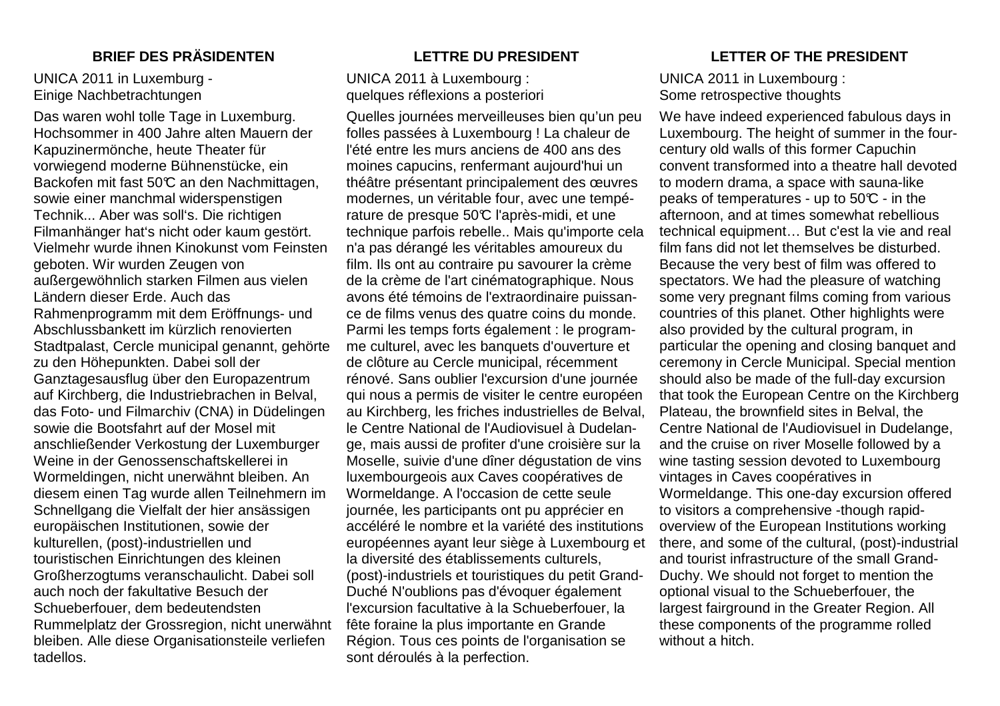### UNICA 2011 in Luxemburg - Einige Nachbetrachtungen

Das waren wohl tolle Tage in Luxemburg. Hochsommer in 400 Jahre alten Mauern der Kapuzinermönche, heute Theater für vorwiegend moderne Bühnenstücke, ein Backofen mit fast 50°C an den Nachmittagen, sowie einer manchmal widerspenstigen Technik... Aber was soll's. Die richtigen Filmanhänger hat's nicht oder kaum gestört. Vielmehr wurde ihnen Kinokunst vom Feinsten geboten. Wir wurden Zeugen von außergewöhnlich starken Filmen aus vielen Ländern dieser Erde. Auch das Rahmenprogramm mit dem Eröffnungs- und Abschlussbankett im kürzlich renovierten Stadtpalast, Cercle municipal genannt, gehörte zu den Höhepunkten. Dabei soll der Ganztagesausflug über den Europazentrum auf Kirchberg, die Industriebrachen in Belval, das Foto- und Filmarchiv (CNA) in Düdelingen sowie die Bootsfahrt auf der Mosel mit anschließender Verkostung der Luxemburger Weine in der Genossenschaftskellerei in Wormeldingen, nicht unerwähnt bleiben. An diesem einen Tag wurde allen Teilnehmern im Schnellgang die Vielfalt der hier ansässigen europäischen Institutionen, sowie der kulturellen, (post)-industriellen und touristischen Einrichtungen des kleinen Großherzogtums veranschaulicht. Dabei soll auch noch der fakultative Besuch der Schueberfouer, dem bedeutendsten Rummelplatz der Grossregion, nicht unerwähnt bleiben. Alle diese Organisationsteile verliefen tadellos.

UNICA 2011 à Luxembourg : quelques réflexions a posteriori

Quelles journées merveilleuses bien qu'un peu folles passées à Luxembourg ! La chaleur de l'été entre les murs anciens de 400 ans des moines capucins, renfermant aujourd'hui un théâtre présentant principalement des œuvres modernes, un véritable four, avec une température de presque 50°C l'après-midi, et une technique parfois rebelle.. Mais qu'importe cela n'a pas dérangé les véritables amoureux du film. Ils ont au contraire pu savourer la crème de la crème de l'art cinématographique. Nous avons été témoins de l'extraordinaire puissance de films venus des quatre coins du monde. Parmi les temps forts également : le programme culturel, avec les banquets d'ouverture et de clôture au Cercle municipal, récemment rénové. Sans oublier l'excursion d'une journée qui nous a permis de visiter le centre européen au Kirchberg, les friches industrielles de Belval, le Centre National de l'Audiovisuel à Dudelange, mais aussi de profiter d'une croisière sur la Moselle, suivie d'une dîner dégustation de vins luxembourgeois aux Caves coopératives de Wormeldange. A l'occasion de cette seule journée, les participants ont pu apprécier en accéléré le nombre et la variété des institutions européennes ayant leur siège à Luxembourg et la diversité des établissements culturels, (post)-industriels et touristiques du petit Grand-Duché N'oublions pas d'évoquer également l'excursion facultative à la Schueberfouer, la fête foraine la plus importante en Grande Région. Tous ces points de l'organisation se sont déroulés à la perfection.

# **BRIEF DES PRÄSIDENTEN LETTRE DU PRESIDENT LETTER OF THE PRESIDENT**

# UNICA 2011 in Luxembourg : Some retrospective thoughts

We have indeed experienced fabulous days in Luxembourg. The height of summer in the fourcentury old walls of this former Capuchin convent transformed into a theatre hall devoted to modern drama, a space with sauna-like peaks of temperatures - up to 50 $\mathbb C$  - in the afternoon, and at times somewhat rebellious technical equipment… But c'est la vie and real film fans did not let themselves be disturbed. Because the very best of film was offered to spectators. We had the pleasure of watching some very pregnant films coming from various countries of this planet. Other highlights were also provided by the cultural program, in particular the opening and closing banquet and ceremony in Cercle Municipal. Special mention should also be made of the full-day excursion that took the European Centre on the Kirchberg Plateau, the brownfield sites in Belval, the Centre National de l'Audiovisuel in Dudelange, and the cruise on river Moselle followed by a wine tasting session devoted to Luxembourg vintages in Caves coopératives in Wormeldange. This one-day excursion offered to visitors a comprehensive -though rapidoverview of the European Institutions working there, and some of the cultural, (post)-industrial and tourist infrastructure of the small Grand-Duchy. We should not forget to mention the optional visual to the Schueberfouer, the largest fairground in the Greater Region. All these components of the programme rolled without a hitch.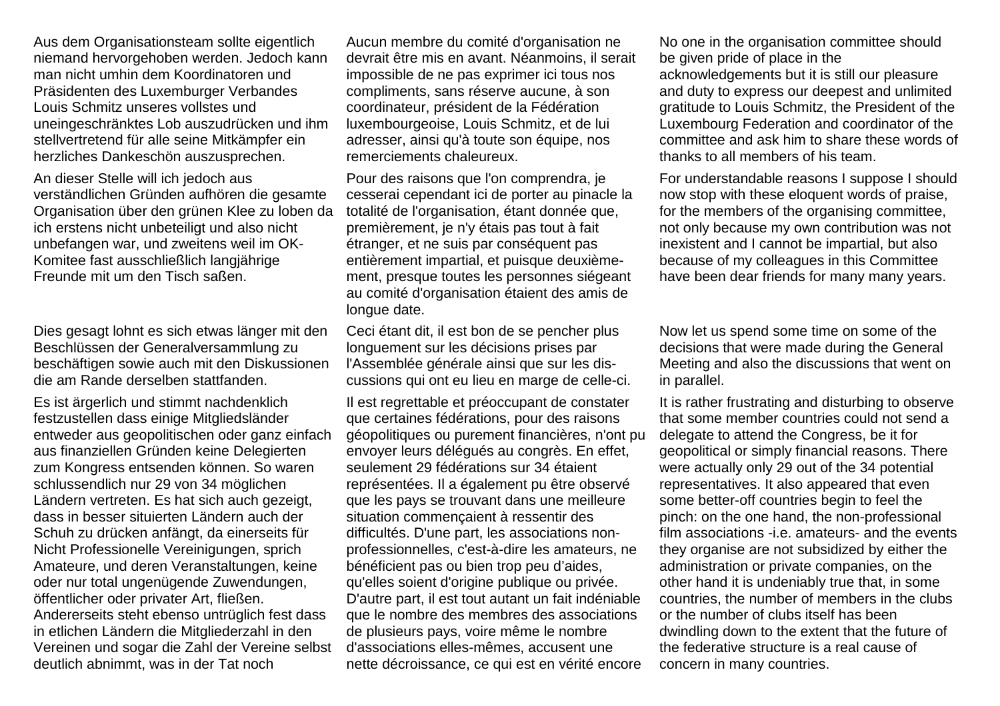Aus dem Organisationsteam sollte eigentlich niemand hervorgehoben werden. Jedoch kann man nicht umhin dem Koordinatoren und Präsidenten des Luxemburger Verbandes Louis Schmitz unseres vollstes und uneingeschränktes Lob auszudrücken und ihm stellvertretend für alle seine Mitkämpfer ein herzliches Dankeschön auszusprechen.

An dieser Stelle will ich jedoch aus verständlichen Gründen aufhören die gesamte Organisation über den grünen Klee zu loben da ich erstens nicht unbeteiligt und also nicht unbefangen war, und zweitens weil im OK-Komitee fast ausschließlich langjährige Freunde mit um den Tisch saßen.

Dies gesagt lohnt es sich etwas länger mit den Beschlüssen der Generalversammlung zu beschäftigen sowie auch mit den Diskussionen die am Rande derselben stattfanden.

Es ist ärgerlich und stimmt nachdenklich festzustellen dass einige Mitgliedsländer entweder aus geopolitischen oder ganz einfach aus finanziellen Gründen keine Delegierten zum Kongress entsenden können. So waren schlussendlich nur 29 von 34 möglichen Ländern vertreten. Es hat sich auch gezeigt, dass in besser situierten Ländern auch der Schuh zu drücken anfängt, da einerseits für Nicht Professionelle Vereinigungen, sprich Amateure, und deren Veranstaltungen, keine oder nur total ungenügende Zuwendungen, öffentlicher oder privater Art, fließen. Andererseits steht ebenso untrüglich fest dass in etlichen Ländern die Mitgliederzahl in den Vereinen und sogar die Zahl der Vereine selbst deutlich abnimmt, was in der Tat noch

Aucun membre du comité d'organisation ne devrait être mis en avant. Néanmoins, il serait impossible de ne pas exprimer ici tous nos compliments, sans réserve aucune, à son coordinateur, président de la Fédération luxembourgeoise, Louis Schmitz, et de lui adresser, ainsi qu'à toute son équipe, nos remerciements chaleureux.

Pour des raisons que l'on comprendra, je cesserai cependant ici de porter au pinacle la totalité de l'organisation, étant donnée que, premièrement, je n'y étais pas tout à fait étranger, et ne suis par conséquent pas entièrement impartial, et puisque deuxièmement, presque toutes les personnes siégeant au comité d'organisation étaient des amis de longue date.

Ceci étant dit, il est bon de se pencher plus longuement sur les décisions prises par l'Assemblée générale ainsi que sur les discussions qui ont eu lieu en marge de celle-ci.

Il est regrettable et préoccupant de constater que certaines fédérations, pour des raisons géopolitiques ou purement financières, n'ont pu envoyer leurs délégués au congrès. En effet, seulement 29 fédérations sur 34 étaient représentées. Il a également pu être observé que les pays se trouvant dans une meilleure situation commençaient à ressentir des difficultés. D'une part, les associations nonprofessionnelles, c'est-à-dire les amateurs, ne bénéficient pas ou bien trop peu d'aides, qu'elles soient d'origine publique ou privée. D'autre part, il est tout autant un fait indéniable que le nombre des membres des associations de plusieurs pays, voire même le nombre d'associations elles-mêmes, accusent une nette décroissance, ce qui est en vérité encore

No one in the organisation committee should be given pride of place in the acknowledgements but it is still our pleasure and duty to express our deepest and unlimited gratitude to Louis Schmitz, the President of the Luxembourg Federation and coordinator of the committee and ask him to share these words of thanks to all members of his team.

For understandable reasons I suppose I should now stop with these eloquent words of praise, for the members of the organising committee, not only because my own contribution was not inexistent and I cannot be impartial, but also because of my colleagues in this Committee have been dear friends for many many years.

Now let us spend some time on some of the decisions that were made during the General Meeting and also the discussions that went on in parallel.

It is rather frustrating and disturbing to observe that some member countries could not send a delegate to attend the Congress, be it for geopolitical or simply financial reasons. There were actually only 29 out of the 34 potential representatives. It also appeared that even some better-off countries begin to feel the pinch: on the one hand, the non-professional film associations -i.e. amateurs- and the events they organise are not subsidized by either the administration or private companies, on the other hand it is undeniably true that, in some countries, the number of members in the clubs or the number of clubs itself has been dwindling down to the extent that the future of the federative structure is a real cause of concern in many countries.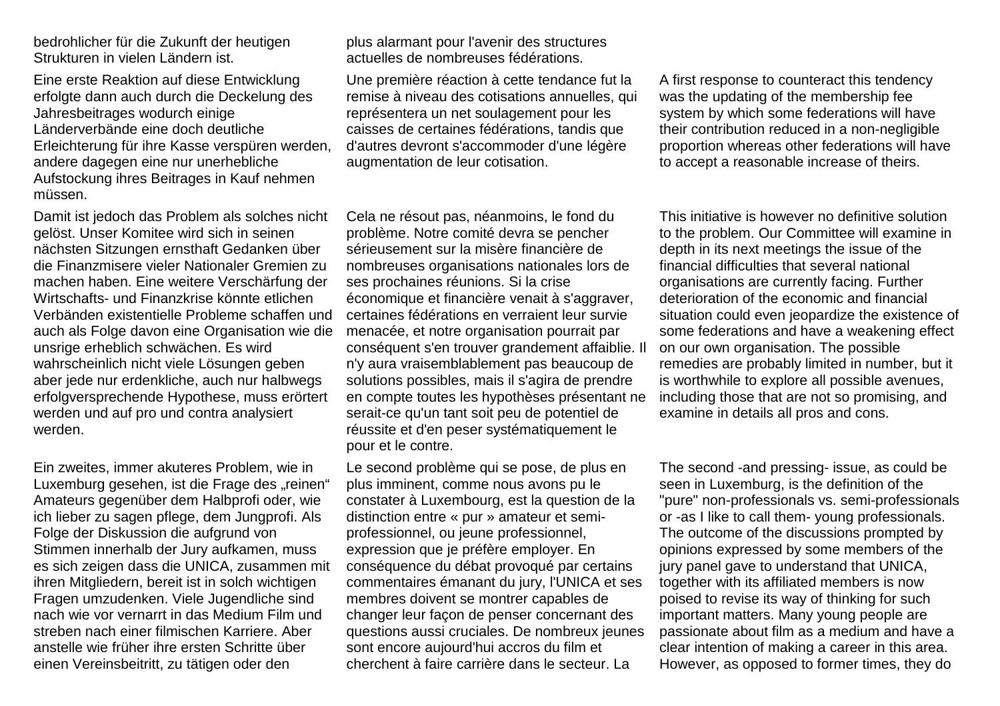bedrohlicher für die Zukunft der heutigen Strukturen in vielen Ländern ist.

Eine erste Reaktion auf diese Entwicklung erfolgte dann auch durch die Deckelung des Jahresbeitrages wodurch einige Länderverbände eine doch deutliche Erleichterung für ihre Kasse verspüren werden, andere dagegen eine nur unerhebliche Aufstockung ihres Beitrages in Kauf nehmen müssen.

Damit ist jedoch das Problem als solches nicht gelöst. Unser Komitee wird sich in seinen nächsten Sitzungen ernsthaft Gedanken über die Finanzmisere vieler Nationaler Gremien zu machen haben. Eine weitere Verschärfung der Wirtschafts- und Finanzkrise könnte etlichen Verbänden existentielle Probleme schaffen und auch als Folge davon eine Organisation wie die unsrige erheblich schwächen. Es wird wahrscheinlich nicht viele Lösungen geben aber jede nur erdenkliche, auch nur halbwegs erfolgversprechende Hypothese, muss erörtert werden und auf pro und contra analysiert werden.

Ein zweites, immer akuteres Problem, wie in Luxemburg gesehen, ist die Frage des "reinen" Amateurs gegenüber dem Halbprofi oder, wie ich lieber zu sagen pflege, dem Jungprofi. Als Folge der Diskussion die aufgrund von Stimmen innerhalb der Jury aufkamen, muss es sich zeigen dass die UNICA, zusammen mit ihren Mitgliedern, bereit ist in solch wichtigen Fragen umzudenken. Viele Jugendliche sind nach wie vor vernarrt in das Medium Film und streben nach einer filmischen Karriere. Aber anstelle wie früher ihre ersten Schritte über einen Vereinsbeitritt, zu tätigen oder den

plus alarmant pour l'avenir des structures actuelles de nombreuses fédérations.

Une première réaction à cette tendance fut la remise à niveau des cotisations annuelles, qui représentera un net soulagement pour les caisses de certaines fédérations, tandis que d'autres devront s'accommoder d'une légère augmentation de leur cotisation.

Cela ne résout pas, néanmoins, le fond du problème. Notre comité devra se pencher sérieusement sur la misère financière de nombreuses organisations nationales lors de ses prochaines réunions. Si la crise économique et financière venait à s'aggraver, certaines fédérations en verraient leur survie menacée, et notre organisation pourrait par conséquent s'en trouver grandement affaiblie. Il n'y aura vraisemblablement pas beaucoup de solutions possibles, mais il s'agira de prendre en compte toutes les hypothèses présentant ne serait-ce qu'un tant soit peu de potentiel de réussite et d'en peser systématiquement le pour et le contre.

Le second problème qui se pose, de plus en plus imminent, comme nous avons pu le constater à Luxembourg, est la question de la distinction entre « pur » amateur et semiprofessionnel, ou jeune professionnel, expression que je préfère employer. En conséquence du débat provoqué par certains commentaires émanant du jury, l'UNICA et ses membres doivent se montrer capables de changer leur façon de penser concernant des questions aussi cruciales. De nombreux jeunes sont encore aujourd'hui accros du film et cherchent à faire carrière dans le secteur. La

A first response to counteract this tendency was the updating of the membership fee system by which some federations will have their contribution reduced in a non-negligible proportion whereas other federations will have to accept a reasonable increase of theirs.

This initiative is however no definitive solution to the problem. Our Committee will examine in depth in its next meetings the issue of the financial difficulties that several national organisations are currently facing. Further deterioration of the economic and financial situation could even jeopardize the existence of some federations and have a weakening effect on our own organisation. The possible remedies are probably limited in number, but it is worthwhile to explore all possible avenues, including those that are not so promising, and examine in details all pros and cons.

The second -and pressing- issue, as could be seen in Luxemburg, is the definition of the "pure" non-professionals vs. semi-professionals or -as I like to call them- young professionals. The outcome of the discussions prompted by opinions expressed by some members of the jury panel gave to understand that UNICA, together with its affiliated members is now poised to revise its way of thinking for such important matters. Many young people are passionate about film as a medium and have a clear intention of making a career in this area. However, as opposed to former times, they do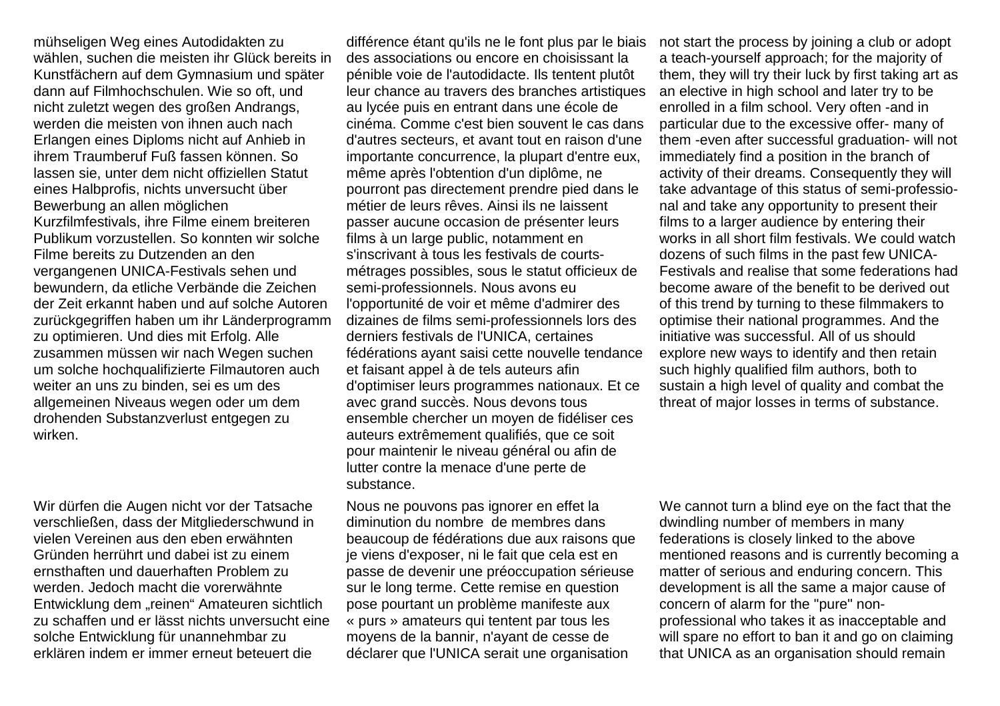mühseligen Weg eines Autodidakten zu wählen, suchen die meisten ihr Glück bereits in Kunstfächern auf dem Gymnasium und später dann auf Filmhochschulen. Wie so oft, und nicht zuletzt wegen des großen Andrangs, werden die meisten von ihnen auch nach Erlangen eines Diploms nicht auf Anhieb in ihrem Traumberuf Fuß fassen können. So lassen sie, unter dem nicht offiziellen Statut eines Halbprofis, nichts unversucht über Bewerbung an allen möglichen Kurzfilmfestivals, ihre Filme einem breiteren Publikum vorzustellen. So konnten wir solche Filme bereits zu Dutzenden an den vergangenen UNICA-Festivals sehen und bewundern, da etliche Verbände die Zeichen der Zeit erkannt haben und auf solche Autoren zurückgegriffen haben um ihr Länderprogramm zu optimieren. Und dies mit Erfolg. Alle zusammen müssen wir nach Wegen suchen um solche hochqualifizierte Filmautoren auch weiter an uns zu binden, sei es um des allgemeinen Niveaus wegen oder um dem drohenden Substanzverlust entgegen zu wirken.

Wir dürfen die Augen nicht vor der Tatsache verschließen, dass der Mitgliederschwund in vielen Vereinen aus den eben erwähnten Gründen herrührt und dabei ist zu einem ernsthaften und dauerhaften Problem zu werden. Jedoch macht die vorerwähnte Entwicklung dem "reinen" Amateuren sichtlich zu schaffen und er lässt nichts unversucht eine solche Entwicklung für unannehmbar zu erklären indem er immer erneut beteuert die

différence étant qu'ils ne le font plus par le biais des associations ou encore en choisissant la pénible voie de l'autodidacte. Ils tentent plutôt leur chance au travers des branches artistiques au lycée puis en entrant dans une école de cinéma. Comme c'est bien souvent le cas dans d'autres secteurs, et avant tout en raison d'une importante concurrence, la plupart d'entre eux, même après l'obtention d'un diplôme, ne pourront pas directement prendre pied dans le métier de leurs rêves. Ainsi ils ne laissent passer aucune occasion de présenter leurs films à un large public, notamment en s'inscrivant à tous les festivals de courtsmétrages possibles, sous le statut officieux de semi-professionnels. Nous avons eu l'opportunité de voir et même d'admirer des dizaines de films semi-professionnels lors des derniers festivals de l'UNICA, certaines fédérations ayant saisi cette nouvelle tendance et faisant appel à de tels auteurs afin d'optimiser leurs programmes nationaux. Et ce avec grand succès. Nous devons tous ensemble chercher un moyen de fidéliser ces auteurs extrêmement qualifiés, que ce soit pour maintenir le niveau général ou afin de lutter contre la menace d'une perte de substance.

Nous ne pouvons pas ignorer en effet la diminution du nombre de membres dans beaucoup de fédérations due aux raisons que je viens d'exposer, ni le fait que cela est en passe de devenir une préoccupation sérieuse sur le long terme. Cette remise en question pose pourtant un problème manifeste aux « purs » amateurs qui tentent par tous les moyens de la bannir, n'ayant de cesse de déclarer que l'UNICA serait une organisation

not start the process by joining a club or adopt a teach-yourself approach; for the majority of them, they will try their luck by first taking art as an elective in high school and later try to be enrolled in a film school. Very often -and in particular due to the excessive offer- many of them -even after successful graduation- will not immediately find a position in the branch of activity of their dreams. Consequently they will take advantage of this status of semi-professional and take any opportunity to present their films to a larger audience by entering their works in all short film festivals. We could watch dozens of such films in the past few UNICA-Festivals and realise that some federations had become aware of the benefit to be derived out of this trend by turning to these filmmakers to optimise their national programmes. And the initiative was successful. All of us should explore new ways to identify and then retain such highly qualified film authors, both to sustain a high level of quality and combat the threat of major losses in terms of substance.

We cannot turn a blind eye on the fact that the dwindling number of members in many federations is closely linked to the above mentioned reasons and is currently becoming a matter of serious and enduring concern. This development is all the same a major cause of concern of alarm for the "pure" nonprofessional who takes it as inacceptable and will spare no effort to ban it and go on claiming that UNICA as an organisation should remain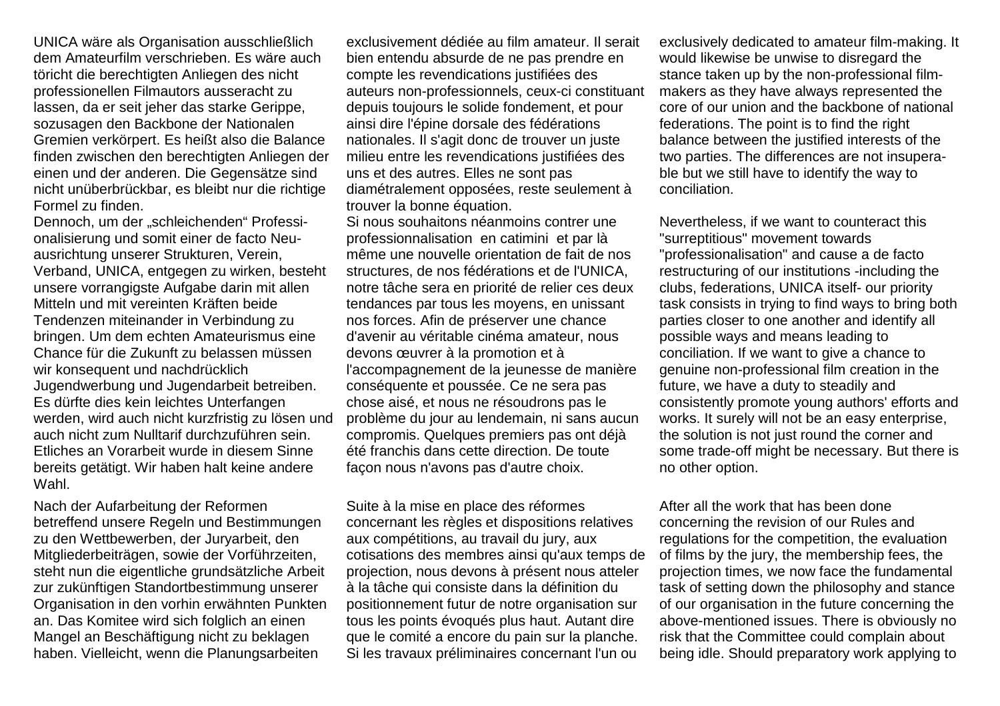UNICA wäre als Organisation ausschließlich dem Amateurfilm verschrieben. Es wäre auch töricht die berechtigten Anliegen des nicht professionellen Filmautors ausseracht zu lassen, da er seit jeher das starke Gerippe, sozusagen den Backbone der Nationalen Gremien verkörpert. Es heißt also die Balance finden zwischen den berechtigten Anliegen der einen und der anderen. Die Gegensätze sind nicht unüberbrückbar, es bleibt nur die richtige Formel zu finden.

Dennoch, um der "schleichenden" Professionalisierung und somit einer de facto Neuausrichtung unserer Strukturen, Verein, Verband, UNICA, entgegen zu wirken, besteht unsere vorrangigste Aufgabe darin mit allen Mitteln und mit vereinten Kräften beide Tendenzen miteinander in Verbindung zu bringen. Um dem echten Amateurismus eine Chance für die Zukunft zu belassen müssen wir konsequent und nachdrücklich Jugendwerbung und Jugendarbeit betreiben. Es dürfte dies kein leichtes Unterfangen werden, wird auch nicht kurzfristig zu lösen und auch nicht zum Nulltarif durchzuführen sein. Etliches an Vorarbeit wurde in diesem Sinne bereits getätigt. Wir haben halt keine andere Wahl.

Nach der Aufarbeitung der Reformen betreffend unsere Regeln und Bestimmungen zu den Wettbewerben, der Juryarbeit, den Mitgliederbeiträgen, sowie der Vorführzeiten, steht nun die eigentliche grundsätzliche Arbeit zur zukünftigen Standortbestimmung unserer Organisation in den vorhin erwähnten Punkten an. Das Komitee wird sich folglich an einen Mangel an Beschäftigung nicht zu beklagen haben. Vielleicht, wenn die Planungsarbeiten

exclusivement dédiée au film amateur. Il serait bien entendu absurde de ne pas prendre en compte les revendications justifiées des auteurs non-professionnels, ceux-ci constituant depuis toujours le solide fondement, et pour ainsi dire l'épine dorsale des fédérations nationales. Il s'agit donc de trouver un juste milieu entre les revendications justifiées des uns et des autres. Elles ne sont pas diamétralement opposées, reste seulement à trouver la bonne équation.

 Si nous souhaitons néanmoins contrer une professionnalisation en catimini et par là même une nouvelle orientation de fait de nos structures, de nos fédérations et de l'UNICA, notre tâche sera en priorité de relier ces deux tendances par tous les moyens, en unissant nos forces. Afin de préserver une chance d'avenir au véritable cinéma amateur, nous devons œuvrer à la promotion et à l'accompagnement de la jeunesse de manière conséquente et poussée. Ce ne sera pas chose aisé, et nous ne résoudrons pas le problème du jour au lendemain, ni sans aucun compromis. Quelques premiers pas ont déjà été franchis dans cette direction. De toute façon nous n'avons pas d'autre choix.

Suite à la mise en place des réformes concernant les règles et dispositions relatives aux compétitions, au travail du jury, aux cotisations des membres ainsi qu'aux temps de projection, nous devons à présent nous atteler à la tâche qui consiste dans la définition du positionnement futur de notre organisation sur tous les points évoqués plus haut. Autant dire que le comité a encore du pain sur la planche. Si les travaux préliminaires concernant l'un ou

exclusively dedicated to amateur film-making. It would likewise be unwise to disregard the stance taken up by the non-professional filmmakers as they have always represented the core of our union and the backbone of national federations. The point is to find the right balance between the justified interests of the two parties. The differences are not insuperable but we still have to identify the way to conciliation.

Nevertheless, if we want to counteract this "surreptitious" movement towards "professionalisation" and cause a de facto restructuring of our institutions -including the clubs, federations, UNICA itself- our priority task consists in trying to find ways to bring both parties closer to one another and identify all possible ways and means leading to conciliation. If we want to give a chance to genuine non-professional film creation in the future, we have a duty to steadily and consistently promote young authors' efforts and works. It surely will not be an easy enterprise, the solution is not just round the corner and some trade-off might be necessary. But there is no other option.

After all the work that has been done concerning the revision of our Rules and regulations for the competition, the evaluation of films by the jury, the membership fees, the projection times, we now face the fundamental task of setting down the philosophy and stance of our organisation in the future concerning the above-mentioned issues. There is obviously no risk that the Committee could complain about being idle. Should preparatory work applying to